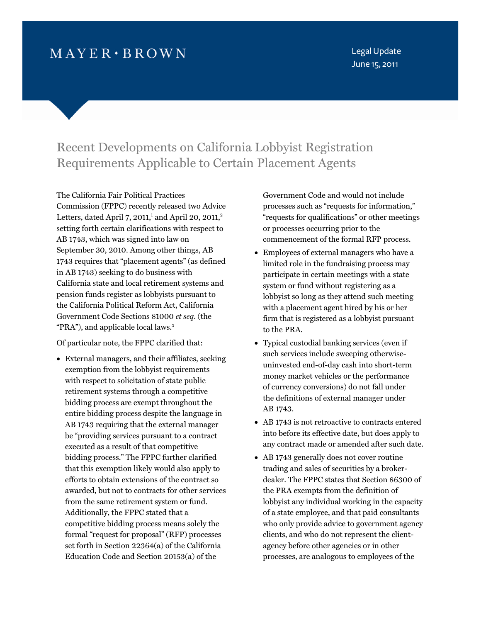# $MAYER \cdot BROWN$

Legal Update June 15, 2011

## Recent Developments on California Lobbyist Registration Requirements Applicable to Certain Placement Agents

The California Fair Political Practices Commission (FPPC) recently released two Advice Letters, dated April  $7, 2011$ ,<sup>1</sup> [an](#page-2-0)d April 20, 2011,<sup>2</sup> setting forth certain clarifications with respect to AB 1743, which was signed into law on September 30, 2010. Among other things, AB 1743 requires that "placement agents" (as defined in AB 1743) seeking to do business with California state and local retirement systems and pension funds register as lobbyists pursuant to the California Political Reform Act, California Government Code Sections 81000 *et seq*. (the "PRA"), and applicable local laws.<sup>3</sup>

Of particular note, the FPPC clarified that:

 External managers, and their affiliates, seeking exemption from the lobbyist requirements with respect to solicitation of state public retirement systems through a competitive bidding process are exempt throughout the entire bidding process despite the language in AB 1743 requiring that the external manager be "providing services pursuant to a contract executed as a result of that competitive bidding process." The FPPC further clarified that this exemption likely would also apply to efforts to obtain extensions of the contract so awarded, but not to contracts for other services from the same retirement system or fund. Additionally, the FPPC stated that a competitive bidding process means solely the formal "request for proposal" (RFP) processes set forth in Section 22364(a) of the California Education Code and Section 20153(a) of the

Government Code and would not include processes such as "requests for information," "requests for qualifications" or other meetings or processes occurring prior to the commencement of the formal RFP process.

- Employees of external managers who have a limited role in the fundraising process may participate in certain meetings with a state system or fund without registering as a lobbyist so long as they attend such meeting with a placement agent hired by his or her firm that is registered as a lobbyist pursuant to the PRA.
- Typical custodial banking services (even if such services include sweeping otherwiseuninvested end-of-day cash into short-term money market vehicles or the performance of currency conversions) do not fall under the definitions of external manager under AB 1743.
- AB 1743 is not retroactive to contracts entered into before its effective date, but does apply to any contract made or amended after such date.
- AB 1743 generally does not cover routine trading and sales of securities by a brokerdealer. The FPPC states that Section 86300 of the PRA exempts from the definition of lobbyist any individual working in the capacity of a state employee, and that paid consultants who only provide advice to government agency clients, and who do not represent the clientagency before other agencies or in other processes, are analogous to employees of the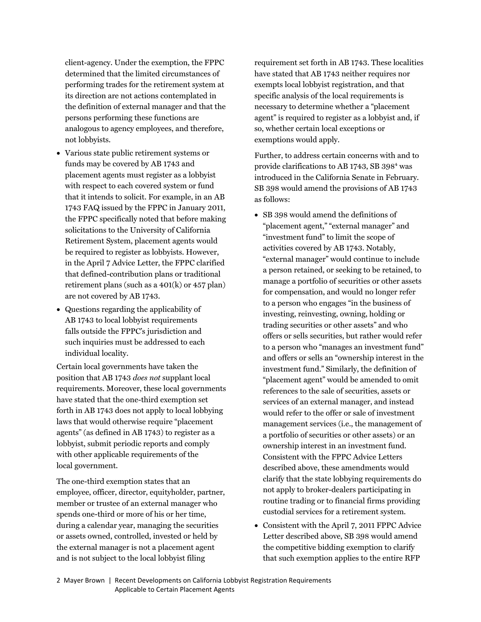client-agency. Under the exemption, the FPPC determined that the limited circumstances of performing trades for the retirement system at its direction are not actions contemplated in the definition of external manager and that the persons performing these functions are analogous to agency employees, and therefore, not lobbyists.

- Various state public retirement systems or funds may be covered by AB 1743 and placement agents must register as a lobbyist with respect to each covered system or fund that it intends to solicit. For example, in an AB 1743 FAQ issued by the FPPC in January 2011, the FPPC specifically noted that before making solicitations to the University of California Retirement System, placement agents would be required to register as lobbyists. However, in the April 7 Advice Letter, the FPPC clarified that defined-contribution plans or traditional retirement plans (such as a 401(k) or 457 plan) are not covered by AB 1743.
- Questions regarding the applicability of AB 1743 to local lobbyist requirements falls outside the FPPC's jurisdiction and such inquiries must be addressed to each individual locality.

Certain local governments have taken the position that AB 1743 *does not* supplant local requirements. Moreover, these local governments have stated that the one-third exemption set forth in AB 1743 does not apply to local lobbying laws that would otherwise require "placement agents" (as defined in AB 1743) to register as a lobbyist, submit periodic reports and comply with other applicable requirements of the local government.

The one-third exemption states that an employee, officer, director, equityholder, partner, member or trustee of an external manager who spends one-third or more of his or her time, during a calendar year, managing the securities or assets owned, controlled, invested or held by the external manager is not a placement agent and is not subject to the local lobbyist filing

requirement set forth in AB 1743. These localities have stated that AB 1743 neither requires nor exempts local lobbyist registration, and that specific analysis of the local requirements is necessary to determine whether a "placement agent" is required to register as a lobbyist and, if so, whether certain local exceptions or exemptions would apply.

Further, to address certain concerns with and to provide clarifications to AB 1743, SB 398<sup>4</sup> [was](#page-2-0) introduced in the California Senate in February. SB 398 would amend the provisions of AB 1743 as follows:

- SB 398 would amend the definitions of "placement agent," "external manager" and "investment fund" to limit the scope of activities covered by AB 1743. Notably, "external manager" would continue to include a person retained, or seeking to be retained, to manage a portfolio of securities or other assets for compensation, and would no longer refer to a person who engages "in the business of investing, reinvesting, owning, holding or trading securities or other assets" and who offers or sells securities, but rather would refer to a person who "manages an investment fund" and offers or sells an "ownership interest in the investment fund." Similarly, the definition of "placement agent" would be amended to omit references to the sale of securities, assets or services of an external manager, and instead would refer to the offer or sale of investment management services (i.e., the management of a portfolio of securities or other assets) or an ownership interest in an investment fund. Consistent with the FPPC Advice Letters described above, these amendments would clarify that the state lobbying requirements do not apply to broker-dealers participating in routine trading or to financial firms providing custodial services for a retirement system.
- Consistent with the April 7, 2011 FPPC Advice Letter described above, SB 398 would amend the competitive bidding exemption to clarify that such exemption applies to the entire RFP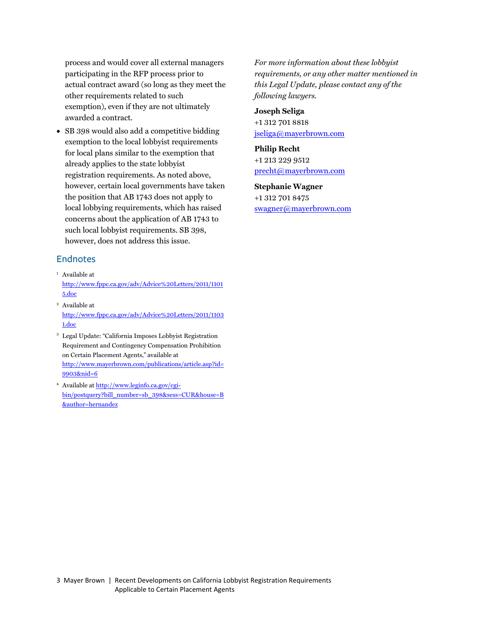<span id="page-2-0"></span>process and would cover all external managers participating in the RFP process prior to actual contract award (so long as they meet the other requirements related to such exemption), even if they are not ultimately awarded a contract.

• SB 398 would also add a competitive bidding exemption to the local lobbyist requirements for local plans similar to the exemption that already applies to the state lobbyist registration requirements. As noted above, however, certain local governments have taken the position that AB 1743 does not apply to local lobbying requirements, which has raised concerns about the application of AB 1743 to such local lobbyist requirements. SB 398, however, does not address this issue.

## Endnotes

- <sup>1</sup> Available at [http://www.fppc.ca.gov/adv/Advice%20Letters/2011/1101](http://www.fppc.ca.gov/adv/Advice%20Letters/2011/11015.doc) 5.doc
- 2 Available at [http://www.fppc.ca.gov/adv/Advice%20Letters/2011/1103](http://www.fppc.ca.gov/adv/Advice%20Letters/2011/11031.doc) 1.doc

3 Legal Update: "California Imposes Lobbyist Registration Requirement and Contingency Compensation Prohibition on Certain Placement Agents," available at [http://www.mayerbrown.com/publications/article.asp?id=](http://www.mayerbrown.com/publications/article.asp?id=9903&nid=6) 9903&nid=6

4 Available at http://www.leginfo.ca.gov/cgi[bin/postquery?bill\\_number=sb\\_398&sess=CUR&house=B](http://www.leginfo.ca.gov/cgi-bin/postquery?bill_number=sb_398&sess=CUR&house=B&author=hernandez) &author=hernandez

*For more information about these lobbyist requirements, or any other matter mentioned in this Legal Update, please contact any of the following lawyers.* 

#### **Joseph Seliga**

+1 312 701 8818 jseliga@mayerbrown.com

**Philip Recht**  +1 213 229 9512 precht@mayerbrown.com

### **Stephanie Wagner**  +1 312 701 8475 swagner@mayerbrown.com